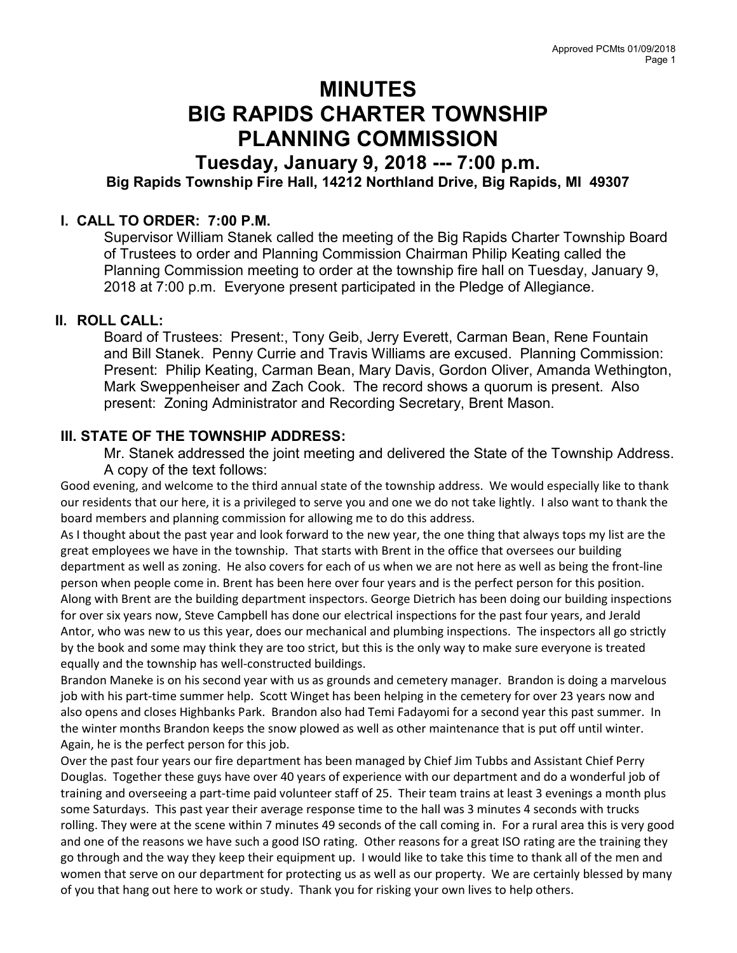# MINUTES BIG RAPIDS CHARTER TOWNSHIP PLANNING COMMISSION

# Tuesday, January 9, 2018 --- 7:00 p.m. Big Rapids Township Fire Hall, 14212 Northland Drive, Big Rapids, MI 49307

#### I. CALL TO ORDER: 7:00 P.M.

Supervisor William Stanek called the meeting of the Big Rapids Charter Township Board of Trustees to order and Planning Commission Chairman Philip Keating called the Planning Commission meeting to order at the township fire hall on Tuesday, January 9, 2018 at 7:00 p.m. Everyone present participated in the Pledge of Allegiance.

### II. ROLL CALL:

Board of Trustees: Present:, Tony Geib, Jerry Everett, Carman Bean, Rene Fountain and Bill Stanek. Penny Currie and Travis Williams are excused. Planning Commission: Present: Philip Keating, Carman Bean, Mary Davis, Gordon Oliver, Amanda Wethington, Mark Sweppenheiser and Zach Cook. The record shows a quorum is present. Also present: Zoning Administrator and Recording Secretary, Brent Mason.

#### III. STATE OF THE TOWNSHIP ADDRESS:

Mr. Stanek addressed the joint meeting and delivered the State of the Township Address. A copy of the text follows:

Good evening, and welcome to the third annual state of the township address. We would especially like to thank our residents that our here, it is a privileged to serve you and one we do not take lightly. I also want to thank the board members and planning commission for allowing me to do this address.

As I thought about the past year and look forward to the new year, the one thing that always tops my list are the great employees we have in the township. That starts with Brent in the office that oversees our building department as well as zoning. He also covers for each of us when we are not here as well as being the front-line person when people come in. Brent has been here over four years and is the perfect person for this position. Along with Brent are the building department inspectors. George Dietrich has been doing our building inspections for over six years now, Steve Campbell has done our electrical inspections for the past four years, and Jerald Antor, who was new to us this year, does our mechanical and plumbing inspections. The inspectors all go strictly by the book and some may think they are too strict, but this is the only way to make sure everyone is treated equally and the township has well-constructed buildings.

Brandon Maneke is on his second year with us as grounds and cemetery manager. Brandon is doing a marvelous job with his part-time summer help. Scott Winget has been helping in the cemetery for over 23 years now and also opens and closes Highbanks Park. Brandon also had Temi Fadayomi for a second year this past summer. In the winter months Brandon keeps the snow plowed as well as other maintenance that is put off until winter. Again, he is the perfect person for this job.

Over the past four years our fire department has been managed by Chief Jim Tubbs and Assistant Chief Perry Douglas. Together these guys have over 40 years of experience with our department and do a wonderful job of training and overseeing a part-time paid volunteer staff of 25. Their team trains at least 3 evenings a month plus some Saturdays. This past year their average response time to the hall was 3 minutes 4 seconds with trucks rolling. They were at the scene within 7 minutes 49 seconds of the call coming in. For a rural area this is very good and one of the reasons we have such a good ISO rating. Other reasons for a great ISO rating are the training they go through and the way they keep their equipment up. I would like to take this time to thank all of the men and women that serve on our department for protecting us as well as our property. We are certainly blessed by many of you that hang out here to work or study. Thank you for risking your own lives to help others.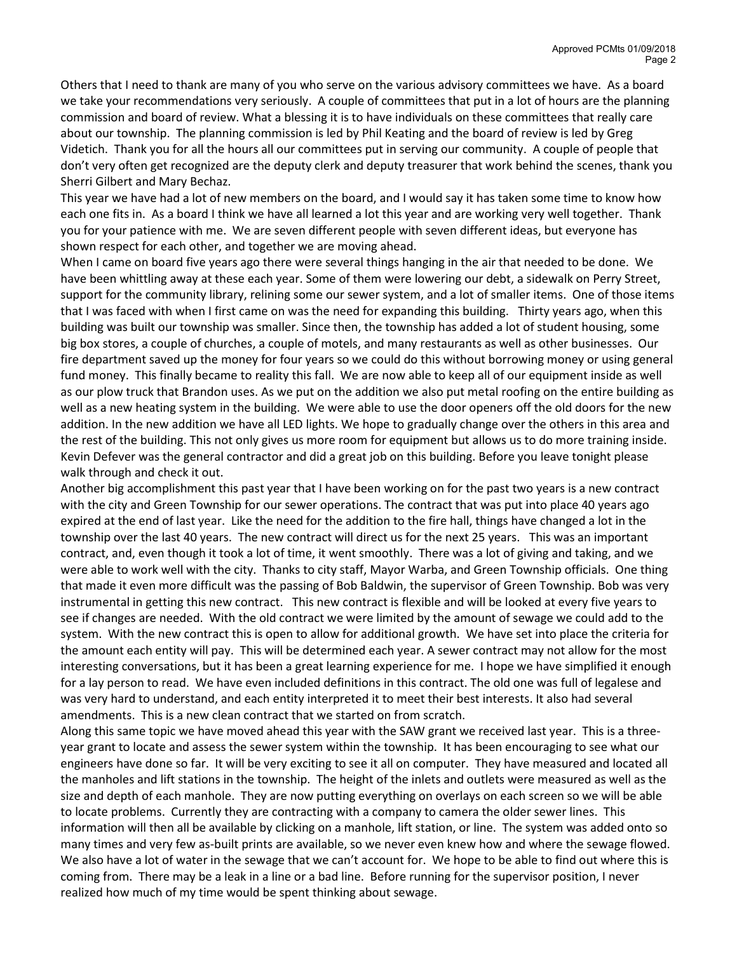Others that I need to thank are many of you who serve on the various advisory committees we have. As a board we take your recommendations very seriously. A couple of committees that put in a lot of hours are the planning commission and board of review. What a blessing it is to have individuals on these committees that really care about our township. The planning commission is led by Phil Keating and the board of review is led by Greg Videtich. Thank you for all the hours all our committees put in serving our community. A couple of people that don't very often get recognized are the deputy clerk and deputy treasurer that work behind the scenes, thank you Sherri Gilbert and Mary Bechaz.

This year we have had a lot of new members on the board, and I would say it has taken some time to know how each one fits in. As a board I think we have all learned a lot this year and are working very well together. Thank you for your patience with me. We are seven different people with seven different ideas, but everyone has shown respect for each other, and together we are moving ahead.

When I came on board five years ago there were several things hanging in the air that needed to be done. We have been whittling away at these each year. Some of them were lowering our debt, a sidewalk on Perry Street, support for the community library, relining some our sewer system, and a lot of smaller items. One of those items that I was faced with when I first came on was the need for expanding this building. Thirty years ago, when this building was built our township was smaller. Since then, the township has added a lot of student housing, some big box stores, a couple of churches, a couple of motels, and many restaurants as well as other businesses. Our fire department saved up the money for four years so we could do this without borrowing money or using general fund money. This finally became to reality this fall. We are now able to keep all of our equipment inside as well as our plow truck that Brandon uses. As we put on the addition we also put metal roofing on the entire building as well as a new heating system in the building. We were able to use the door openers off the old doors for the new addition. In the new addition we have all LED lights. We hope to gradually change over the others in this area and the rest of the building. This not only gives us more room for equipment but allows us to do more training inside. Kevin Defever was the general contractor and did a great job on this building. Before you leave tonight please walk through and check it out.

Another big accomplishment this past year that I have been working on for the past two years is a new contract with the city and Green Township for our sewer operations. The contract that was put into place 40 years ago expired at the end of last year. Like the need for the addition to the fire hall, things have changed a lot in the township over the last 40 years. The new contract will direct us for the next 25 years. This was an important contract, and, even though it took a lot of time, it went smoothly. There was a lot of giving and taking, and we were able to work well with the city. Thanks to city staff, Mayor Warba, and Green Township officials. One thing that made it even more difficult was the passing of Bob Baldwin, the supervisor of Green Township. Bob was very instrumental in getting this new contract. This new contract is flexible and will be looked at every five years to see if changes are needed. With the old contract we were limited by the amount of sewage we could add to the system. With the new contract this is open to allow for additional growth. We have set into place the criteria for the amount each entity will pay. This will be determined each year. A sewer contract may not allow for the most interesting conversations, but it has been a great learning experience for me. I hope we have simplified it enough for a lay person to read. We have even included definitions in this contract. The old one was full of legalese and was very hard to understand, and each entity interpreted it to meet their best interests. It also had several amendments. This is a new clean contract that we started on from scratch.

Along this same topic we have moved ahead this year with the SAW grant we received last year. This is a threeyear grant to locate and assess the sewer system within the township. It has been encouraging to see what our engineers have done so far. It will be very exciting to see it all on computer. They have measured and located all the manholes and lift stations in the township. The height of the inlets and outlets were measured as well as the size and depth of each manhole. They are now putting everything on overlays on each screen so we will be able to locate problems. Currently they are contracting with a company to camera the older sewer lines. This information will then all be available by clicking on a manhole, lift station, or line. The system was added onto so many times and very few as-built prints are available, so we never even knew how and where the sewage flowed. We also have a lot of water in the sewage that we can't account for. We hope to be able to find out where this is coming from. There may be a leak in a line or a bad line. Before running for the supervisor position, I never realized how much of my time would be spent thinking about sewage.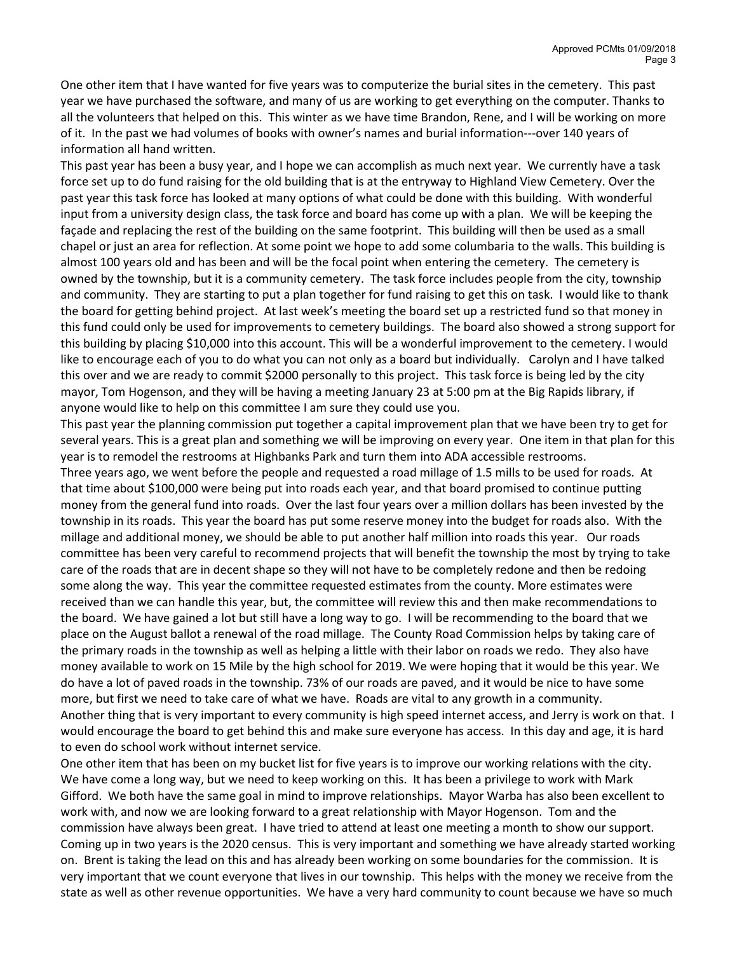One other item that I have wanted for five years was to computerize the burial sites in the cemetery. This past year we have purchased the software, and many of us are working to get everything on the computer. Thanks to all the volunteers that helped on this. This winter as we have time Brandon, Rene, and I will be working on more of it. In the past we had volumes of books with owner's names and burial information---over 140 years of information all hand written.

This past year has been a busy year, and I hope we can accomplish as much next year. We currently have a task force set up to do fund raising for the old building that is at the entryway to Highland View Cemetery. Over the past year this task force has looked at many options of what could be done with this building. With wonderful input from a university design class, the task force and board has come up with a plan. We will be keeping the façade and replacing the rest of the building on the same footprint. This building will then be used as a small chapel or just an area for reflection. At some point we hope to add some columbaria to the walls. This building is almost 100 years old and has been and will be the focal point when entering the cemetery. The cemetery is owned by the township, but it is a community cemetery. The task force includes people from the city, township and community. They are starting to put a plan together for fund raising to get this on task. I would like to thank the board for getting behind project. At last week's meeting the board set up a restricted fund so that money in this fund could only be used for improvements to cemetery buildings. The board also showed a strong support for this building by placing \$10,000 into this account. This will be a wonderful improvement to the cemetery. I would like to encourage each of you to do what you can not only as a board but individually. Carolyn and I have talked this over and we are ready to commit \$2000 personally to this project. This task force is being led by the city mayor, Tom Hogenson, and they will be having a meeting January 23 at 5:00 pm at the Big Rapids library, if anyone would like to help on this committee I am sure they could use you.

This past year the planning commission put together a capital improvement plan that we have been try to get for several years. This is a great plan and something we will be improving on every year. One item in that plan for this year is to remodel the restrooms at Highbanks Park and turn them into ADA accessible restrooms.

Three years ago, we went before the people and requested a road millage of 1.5 mills to be used for roads. At that time about \$100,000 were being put into roads each year, and that board promised to continue putting money from the general fund into roads. Over the last four years over a million dollars has been invested by the township in its roads. This year the board has put some reserve money into the budget for roads also. With the millage and additional money, we should be able to put another half million into roads this year. Our roads committee has been very careful to recommend projects that will benefit the township the most by trying to take care of the roads that are in decent shape so they will not have to be completely redone and then be redoing some along the way. This year the committee requested estimates from the county. More estimates were received than we can handle this year, but, the committee will review this and then make recommendations to the board. We have gained a lot but still have a long way to go. I will be recommending to the board that we place on the August ballot a renewal of the road millage. The County Road Commission helps by taking care of the primary roads in the township as well as helping a little with their labor on roads we redo. They also have money available to work on 15 Mile by the high school for 2019. We were hoping that it would be this year. We do have a lot of paved roads in the township. 73% of our roads are paved, and it would be nice to have some more, but first we need to take care of what we have. Roads are vital to any growth in a community. Another thing that is very important to every community is high speed internet access, and Jerry is work on that. I would encourage the board to get behind this and make sure everyone has access. In this day and age, it is hard to even do school work without internet service.

One other item that has been on my bucket list for five years is to improve our working relations with the city. We have come a long way, but we need to keep working on this. It has been a privilege to work with Mark Gifford. We both have the same goal in mind to improve relationships. Mayor Warba has also been excellent to work with, and now we are looking forward to a great relationship with Mayor Hogenson. Tom and the commission have always been great. I have tried to attend at least one meeting a month to show our support. Coming up in two years is the 2020 census. This is very important and something we have already started working on. Brent is taking the lead on this and has already been working on some boundaries for the commission. It is very important that we count everyone that lives in our township. This helps with the money we receive from the state as well as other revenue opportunities. We have a very hard community to count because we have so much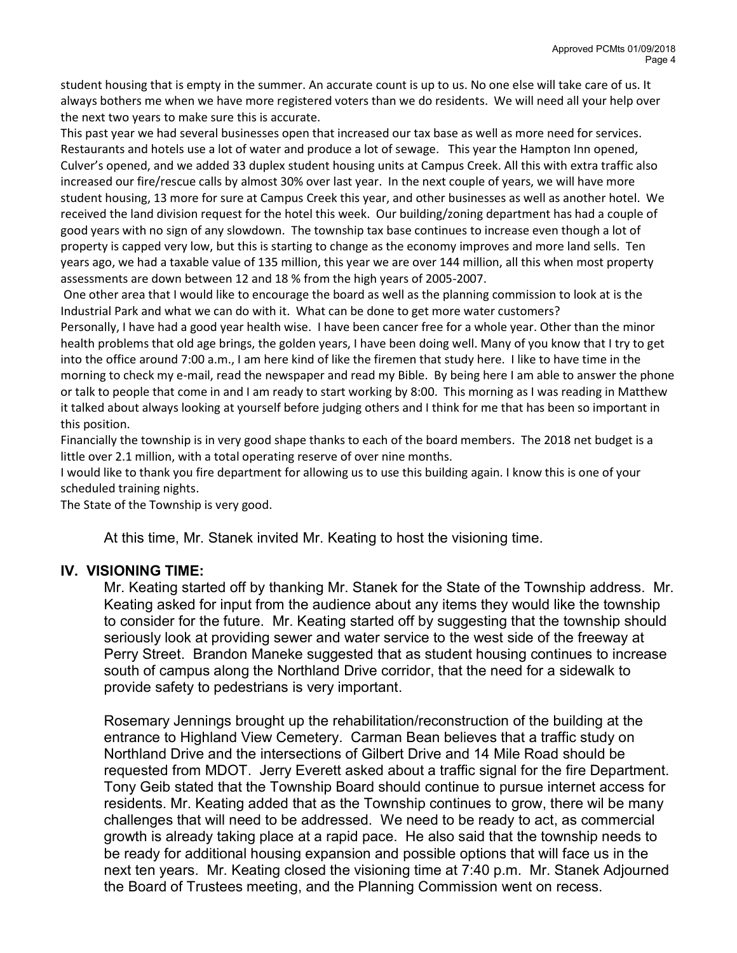student housing that is empty in the summer. An accurate count is up to us. No one else will take care of us. It always bothers me when we have more registered voters than we do residents. We will need all your help over the next two years to make sure this is accurate.

This past year we had several businesses open that increased our tax base as well as more need for services. Restaurants and hotels use a lot of water and produce a lot of sewage. This year the Hampton Inn opened, Culver's opened, and we added 33 duplex student housing units at Campus Creek. All this with extra traffic also increased our fire/rescue calls by almost 30% over last year. In the next couple of years, we will have more student housing, 13 more for sure at Campus Creek this year, and other businesses as well as another hotel. We received the land division request for the hotel this week. Our building/zoning department has had a couple of good years with no sign of any slowdown. The township tax base continues to increase even though a lot of property is capped very low, but this is starting to change as the economy improves and more land sells. Ten years ago, we had a taxable value of 135 million, this year we are over 144 million, all this when most property assessments are down between 12 and 18 % from the high years of 2005-2007.

 One other area that I would like to encourage the board as well as the planning commission to look at is the Industrial Park and what we can do with it. What can be done to get more water customers?

Personally, I have had a good year health wise. I have been cancer free for a whole year. Other than the minor health problems that old age brings, the golden years, I have been doing well. Many of you know that I try to get into the office around 7:00 a.m., I am here kind of like the firemen that study here. I like to have time in the morning to check my e-mail, read the newspaper and read my Bible. By being here I am able to answer the phone or talk to people that come in and I am ready to start working by 8:00. This morning as I was reading in Matthew it talked about always looking at yourself before judging others and I think for me that has been so important in this position.

Financially the township is in very good shape thanks to each of the board members. The 2018 net budget is a little over 2.1 million, with a total operating reserve of over nine months.

I would like to thank you fire department for allowing us to use this building again. I know this is one of your scheduled training nights.

The State of the Township is very good.

At this time, Mr. Stanek invited Mr. Keating to host the visioning time.

#### IV. VISIONING TIME:

Mr. Keating started off by thanking Mr. Stanek for the State of the Township address. Mr. Keating asked for input from the audience about any items they would like the township to consider for the future. Mr. Keating started off by suggesting that the township should seriously look at providing sewer and water service to the west side of the freeway at Perry Street. Brandon Maneke suggested that as student housing continues to increase south of campus along the Northland Drive corridor, that the need for a sidewalk to provide safety to pedestrians is very important.

Rosemary Jennings brought up the rehabilitation/reconstruction of the building at the entrance to Highland View Cemetery. Carman Bean believes that a traffic study on Northland Drive and the intersections of Gilbert Drive and 14 Mile Road should be requested from MDOT. Jerry Everett asked about a traffic signal for the fire Department. Tony Geib stated that the Township Board should continue to pursue internet access for residents. Mr. Keating added that as the Township continues to grow, there wil be many challenges that will need to be addressed. We need to be ready to act, as commercial growth is already taking place at a rapid pace. He also said that the township needs to be ready for additional housing expansion and possible options that will face us in the next ten years. Mr. Keating closed the visioning time at 7:40 p.m. Mr. Stanek Adjourned the Board of Trustees meeting, and the Planning Commission went on recess.